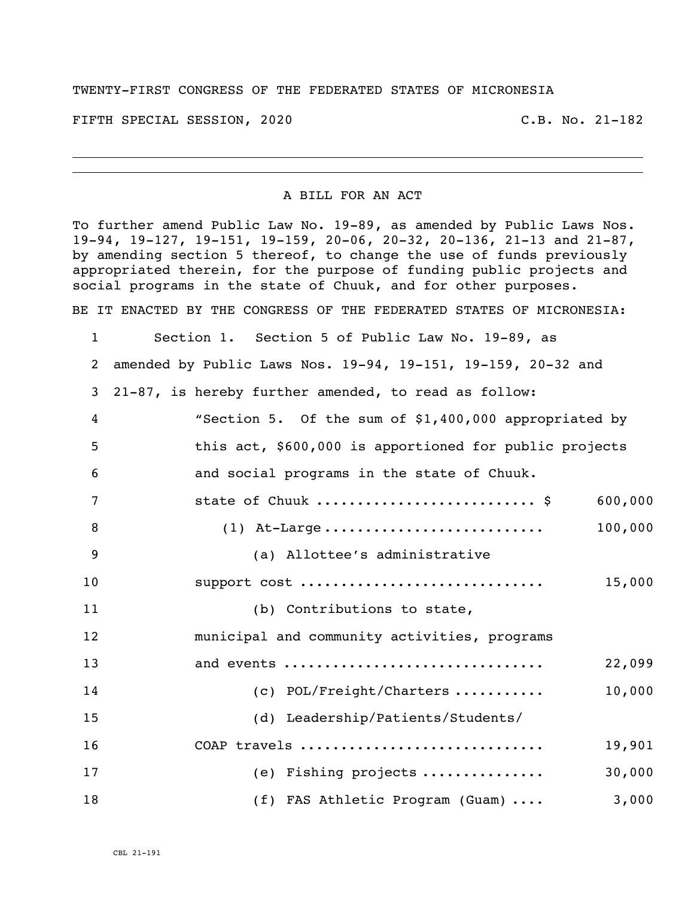## TWENTY-FIRST CONGRESS OF THE FEDERATED STATES OF MICRONESIA

FIFTH SPECIAL SESSION, 2020 C.B. No. 21-182

## A BILL FOR AN ACT

To further amend Public Law No. 19-89, as amended by Public Laws Nos. 19-94, 19-127, 19-151, 19-159, 20-06, 20-32, 20-136, 21-13 and 21-87, by amending section 5 thereof, to change the use of funds previously appropriated therein, for the purpose of funding public projects and social programs in the state of Chuuk, and for other purposes. BE IT ENACTED BY THE CONGRESS OF THE FEDERATED STATES OF MICRONESIA:

 Section 1. Section 5 of Public Law No. 19-89, as amended by Public Laws Nos. 19-94, 19-151, 19-159, 20-32 and 21-87, is hereby further amended, to read as follow: "Section 5. Of the sum of \$1,400,000 appropriated by this act, \$600,000 is apportioned for public projects and social programs in the state of Chuuk. 7 state of Chuuk ...............................\$ 600,000 (1) At-Large ........................... 100,000 (a) Allottee's administrative support cost .............................. 15,000 11 (b) Contributions to state, municipal and community activities, programs and events ................................ 22,099 14 (c) POL/Freight/Charters ........... 10,000 (d) Leadership/Patients/Students/ COAP travels .............................. 19,901 (e) Fishing projects ............... 30,000 18 (f) FAS Athletic Program (Guam) .... 3,000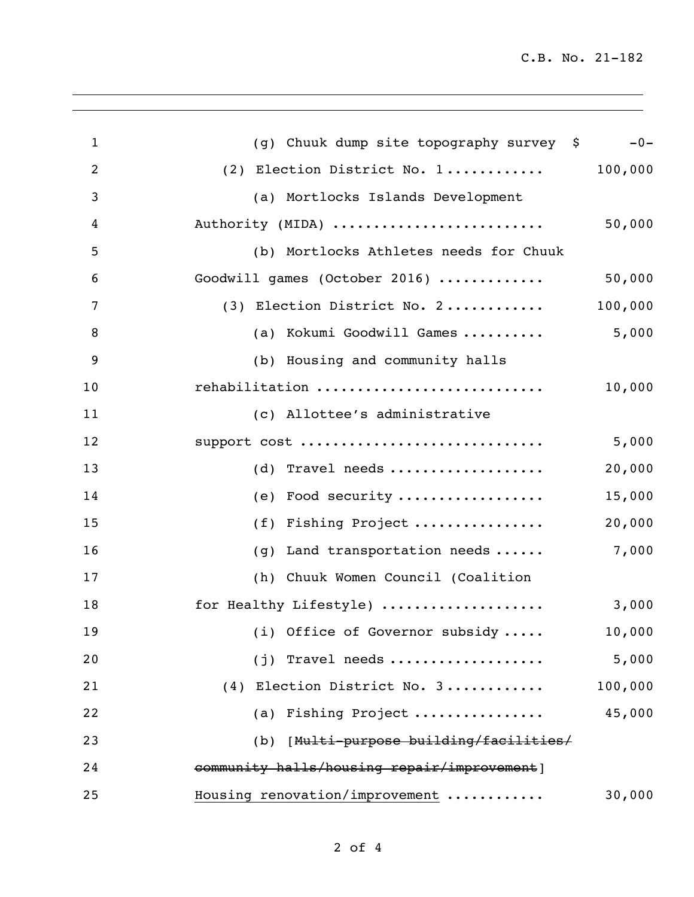C.B. No. 21-182

| $\mathbf{1}$   | (g) Chuuk dump site topography survey \$                   | $-0-$   |
|----------------|------------------------------------------------------------|---------|
| $\overline{2}$ | (2) Election District No. $1 \ldots \ldots \ldots$ 100,000 |         |
| 3              | (a) Mortlocks Islands Development                          |         |
| 4              | Authority (MIDA)                                           | 50,000  |
| 5              | (b) Mortlocks Athletes needs for Chuuk                     |         |
| 6              | Goodwill games (October 2016)                              | 50,000  |
| 7              | (3) Election District No. 2                                | 100,000 |
| 8              | (a) Kokumi Goodwill Games                                  | 5,000   |
| 9              | (b) Housing and community halls                            |         |
| 10             | rehabilitation                                             | 10,000  |
| 11             | (c) Allottee's administrative                              |         |
| 12             | support cost                                               | 5,000   |
| 13             | (d) Travel needs                                           | 20,000  |
| 14             | (e) Food security                                          | 15,000  |
| 15             | (f) Fishing Project                                        | 20,000  |
| 16             | Land transportation needs<br>(g)                           | 7,000   |
| 17             | (h) Chuuk Women Council (Coalition                         |         |
| 18             | for Healthy Lifestyle)                                     | 3,000   |
| 19             | (i) Office of Governor subsidy $\ldots$ .                  | 10,000  |
| 20             | $(j)$ Travel needs                                         | 5,000   |
| 21             | (4) Election District No. 3                                | 100,000 |
| 22             | (a) Fishing Project                                        | 45,000  |
| 23             | (b) [Multi-purpose building/facilities/                    |         |
| 24             | community halls/housing repair/improvement]                |         |
| 25             | Housing renovation/improvement                             | 30,000  |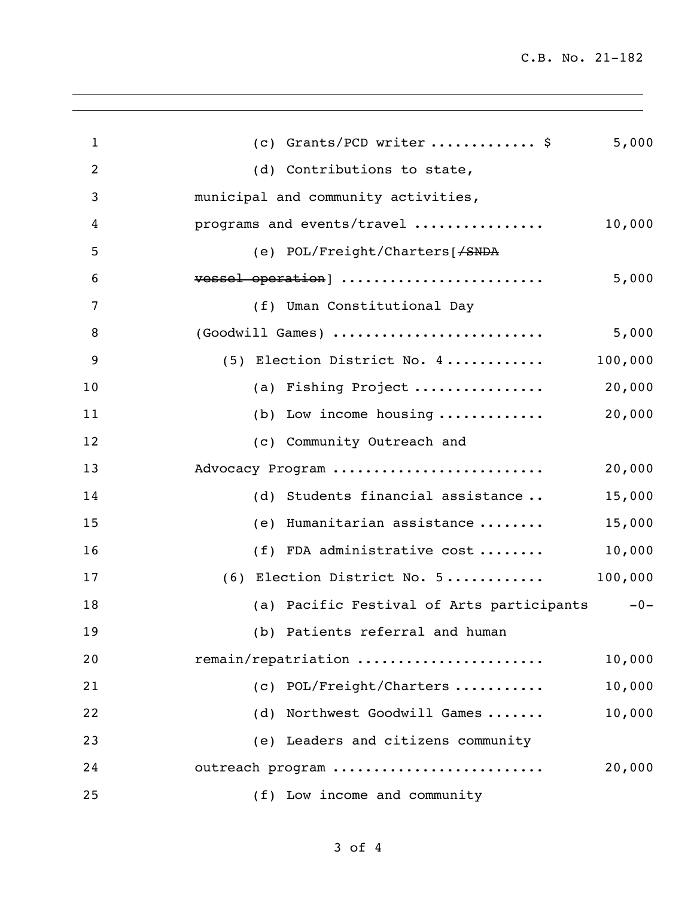C.B. No. 21-182

| $\mathbf{1}$ | (c) Grants/PCD writer  \$                     | 5,000   |
|--------------|-----------------------------------------------|---------|
| 2            | (d) Contributions to state,                   |         |
| 3            | municipal and community activities,           |         |
| 4            | programs and events/travel                    | 10,000  |
| 5            | (e) POL/Freight/Charters[ <del>/SNDA</del>    |         |
| 6            | vessel operation]                             | 5,000   |
| 7            | (f) Uman Constitutional Day                   |         |
| 8            | (Goodwill Games)                              | 5,000   |
| 9            | (5) Election District No. 4                   | 100,000 |
| 10           | (a) Fishing Project                           | 20,000  |
| 11           | (b) Low income housing $\ldots \ldots \ldots$ | 20,000  |
| 12           | (c) Community Outreach and                    |         |
| 13           | Advocacy Program                              | 20,000  |
| 14           | (d) Students financial assistance             | 15,000  |
| 15           | (e) Humanitarian assistance                   | 15,000  |
| 16           | (f) FDA administrative cost                   | 10,000  |
| 17           | (6) Election District No. 5                   | 100,000 |
| 18           | (a) Pacific Festival of Arts participants     | $-0-$   |
| 19           | (b) Patients referral and human               |         |
| 20           | remain/repatriation                           | 10,000  |
| 21           | (c) POL/Freight/Charters                      | 10,000  |
| 22           | (d) Northwest Goodwill Games                  | 10,000  |
| 23           | (e) Leaders and citizens community            |         |
| 24           | outreach program                              | 20,000  |
| 25           | (f) Low income and community                  |         |
|              |                                               |         |